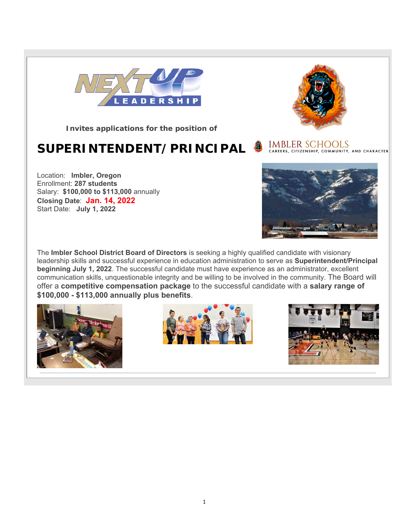

**Invites applications for the position of**

# **SUPERINTENDENT/PRINCIPAL**



The **Imbler School District Board of Directors** is seeking a highly qualified candidate with visionary leadership skills and successful experience in education administration to serve as **Superintendent/Principal beginning July 1, 2022**. The successful candidate must have experience as an administrator, excellent communication skills, unquestionable integrity and be willing to be involved in the community. The Board will offer a **competitive compensation package** to the successful candidate with a **salary range of \$100,000 - \$113,000 annually plus benefits**.









IMBLER SCHOOLS<br>CAREERS, CITIZENSHIP, COMMUNITY, AND CHARACTER

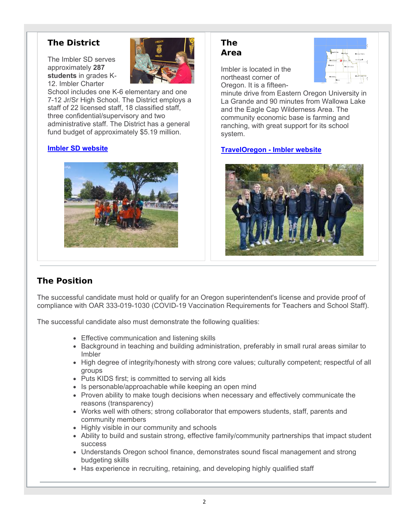### **The District**

The Imbler SD serves approximately **287 students** in grades K-12. Imbler Charter



School includes one K-6 elementary and one 7-12 Jr/Sr High School. The District employs a staff of 22 licensed staff, 18 classified staff, three confidential/supervisory and two administrative staff. The District has a general fund budget of approximately \$5.19 million.

#### **Imbler SD website**



#### **The Area**

Imbler is located in the northeast corner of Oregon. It is a fifteen-



minute drive from Eastern Oregon University in La Grande and 90 minutes from Wallowa Lake and the Eagle Cap Wilderness Area. The community economic base is farming and ranching, with great support for its school system.

#### **TravelOregon - Imbler website**



# **The Position**

The successful candidate must hold or qualify for an Oregon superintendent's license and provide proof of compliance with OAR 333-019-1030 (COVID-19 Vaccination Requirements for Teachers and School Staff).

The successful candidate also must demonstrate the following qualities:

- Effective communication and listening skills
- Background in teaching and building administration, preferably in small rural areas similar to Imbler
- High degree of integrity/honesty with strong core values; culturally competent; respectful of all groups
- Puts KIDS first; is committed to serving all kids
- Is personable/approachable while keeping an open mind
- Proven ability to make tough decisions when necessary and effectively communicate the reasons (transparency)
- Works well with others; strong collaborator that empowers students, staff, parents and community members
- Highly visible in our community and schools
- Ability to build and sustain strong, effective family/community partnerships that impact student success
- Understands Oregon school finance, demonstrates sound fiscal management and strong budgeting skills
- Has experience in recruiting, retaining, and developing highly qualified staff